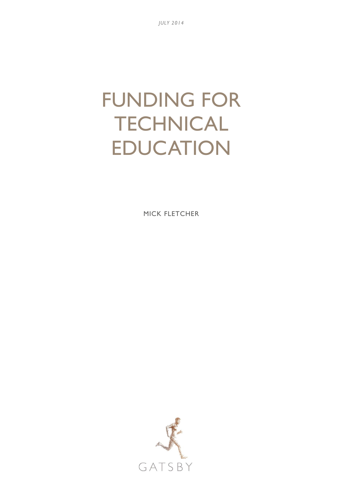# FUNDING FOR **TECHNICAL** EDUCATION

MICK FLETCHER

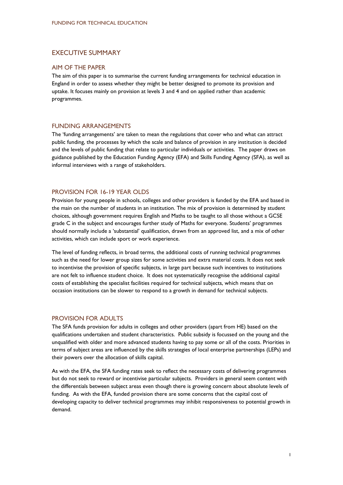# EXECUTIVE SUMMARY

#### AIM OF THE PAPER

The aim of this paper is to summarise the current funding arrangements for technical education in England in order to assess whether they might be better designed to promote its provision and uptake. It focuses mainly on provision at levels 3 and 4 and on applied rather than academic programmes.

## FUNDING ARRANGEMENTS

The 'funding arrangements' are taken to mean the regulations that cover who and what can attract public funding, the processes by which the scale and balance of provision in any institution is decided and the levels of public funding that relate to particular individuals or activities. The paper draws on guidance published by the Education Funding Agency (EFA) and Skills Funding Agency (SFA), as well as informal interviews with a range of stakeholders.

## PROVISION FOR 16-19 YEAR OLDS

Provision for young people in schools, colleges and other providers is funded by the EFA and based in the main on the number of students in an institution. The mix of provision is determined by student choices, although government requires English and Maths to be taught to all those without a GCSE grade C in the subject and encourages further study of Maths for everyone. Students' programmes should normally include a 'substantial' qualification, drawn from an approved list, and a mix of other activities, which can include sport or work experience.

The level of funding reflects, in broad terms, the additional costs of running technical programmes such as the need for lower group sizes for some activities and extra material costs. It does not seek to incentivise the provision of specific subjects, in large part because such incentives to institutions are not felt to influence student choice. It does not systematically recognise the additional capital costs of establishing the specialist facilities required for technical subjects, which means that on occasion institutions can be slower to respond to a growth in demand for technical subjects.

#### PROVISION FOR ADULTS

The SFA funds provision for adults in colleges and other providers (apart from HE) based on the qualifications undertaken and student characteristics. Public subsidy is focussed on the young and the unqualified with older and more advanced students having to pay some or all of the costs. Priorities in terms of subject areas are influenced by the skills strategies of local enterprise partnerships (LEPs) and their powers over the allocation of skills capital.

As with the EFA, the SFA funding rates seek to reflect the necessary costs of delivering programmes but do not seek to reward or incentivise particular subjects. Providers in general seem content with the differentials between subject areas even though there is growing concern about absolute levels of funding. As with the EFA, funded provision there are some concerns that the capital cost of developing capacity to deliver technical programmes may inhibit responsiveness to potential growth in demand.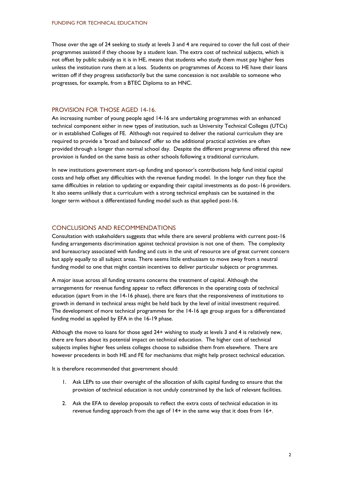Those over the age of 24 seeking to study at levels 3 and 4 are required to cover the full cost of their programmes assisted if they choose by a student loan. The extra cost of technical subjects, which is not offset by public subsidy as it is in HE, means that students who study them must pay higher fees unless the institution runs them at a loss. Students on programmes of Access to HE have their loans written off if they progress satisfactorily but the same concession is not available to someone who progresses, for example, from a BTEC Diploma to an HNC.

#### PROVISION FOR THOSE AGED 14-16.

An increasing number of young people aged 14-16 are undertaking programmes with an enhanced technical component either in new types of institution, such as University Technical Colleges (UTCs) or in established Colleges of FE. Although not required to deliver the national curriculum they are required to provide a 'broad and balanced' offer so the additional practical activities are often provided through a longer than normal school day. Despite the different programme offered this new provision is funded on the same basis as other schools following a traditional curriculum.

In new institutions government start-up funding and sponsor's contributions help fund initial capital costs and help offset any difficulties with the revenue funding model. In the longer run they face the same difficulties in relation to updating or expanding their capital investments as do post-16 providers. It also seems unlikely that a curriculum with a strong technical emphasis can be sustained in the longer term without a differentiated funding model such as that applied post-16.

#### CONCLUSIONS AND RECOMMENDATIONS

Consultation with stakeholders suggests that while there are several problems with current post-16 funding arrangements discrimination against technical provision is not one of them. The complexity and bureaucracy associated with funding and cuts in the unit of resource are of great current concern but apply equally to all subject areas. There seems little enthusiasm to move away from a neutral funding model to one that might contain incentives to deliver particular subjects or programmes.

A major issue across all funding streams concerns the treatment of capital. Although the arrangements for revenue funding appear to reflect differences in the operating costs of technical education (apart from in the 14-16 phase), there are fears that the responsiveness of institutions to growth in demand in technical areas might be held back by the level of initial investment required. The development of more technical programmes for the 14-16 age group argues for a differentiated funding model as applied by EFA in the 16-19 phase.

Although the move to loans for those aged 24+ wishing to study at levels 3 and 4 is relatively new, there are fears about its potential impact on technical education. The higher cost of technical subjects implies higher fees unless colleges choose to subsidise them from elsewhere. There are however precedents in both HE and FE for mechanisms that might help protect technical education.

It is therefore recommended that government should:

- 1. Ask LEPs to use their oversight of the allocation of skills capital funding to ensure that the provision of technical education is not unduly constrained by the lack of relevant facilities.
- 2. Ask the EFA to develop proposals to reflect the extra costs of technical education in its revenue funding approach from the age of 14+ in the same way that it does from 16+.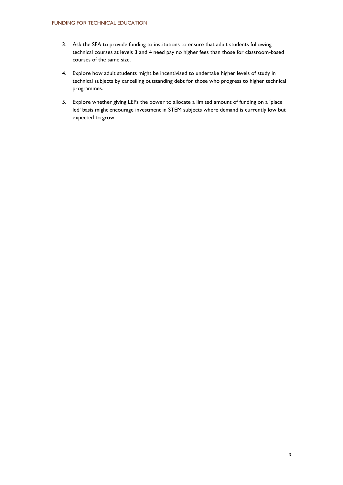- 3. Ask the SFA to provide funding to institutions to ensure that adult students following technical courses at levels 3 and 4 need pay no higher fees than those for classroom-based courses of the same size.
- 4. Explore how adult students might be incentivised to undertake higher levels of study in technical subjects by cancelling outstanding debt for those who progress to higher technical programmes.
- 5. Explore whether giving LEPs the power to allocate a limited amount of funding on a 'place led' basis might encourage investment in STEM subjects where demand is currently low but expected to grow.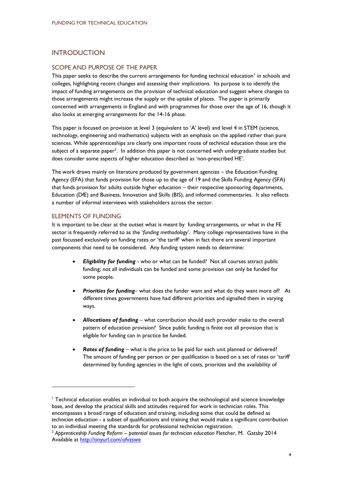# INTRODUCTION

# SCOPE AND PURPOSE OF THE PAPER

This paper seeks to describe the current arrangements for funding technical education<sup>1</sup> in schools and colleges, highlighting recent changes and assessing their implications. Its purpose is to identify the impact of funding arrangements on the provision of technical education and suggest where changes to those arrangements might increase the supply or the uptake of places. The paper is primarily concerned with arrangements in England and with programmes for those over the age of 16, though it also looks at emerging arrangements for the 14-16 phase.

This paper is focused on provision at level 3 (equivalent to 'A' level) and level 4 in STEM (science, technology, engineering and mathematics) subjects with an emphasis on the applied rather than pure sciences. While apprenticeships are clearly one important route of technical education these are the subject of a separate paper<sup>2</sup>. In addition this paper is not concerned with undergraduate studies but does consider some aspects of higher education described as 'non-prescribed HE'.

The work draws mainly on literature produced by government agencies – the Education Funding Agency (EFA) that funds provision for those up to the age of 19 and the Skills Funding Agency (SFA) that funds provision for adults outside higher education – their respective sponsoring departments, Education (DfE) and Business, Innovation and Skills (BIS), and informed commentaries. It also reflects a number of informal interviews with stakeholders across the sector.

#### ELEMENTS OF FUNDING

1

It is important to be clear at the outset what is meant by funding arrangements, or what in the FE sector is frequently referred to as the '*funding methodology'*. Many college representatives have in the past focussed exclusively on funding rates or 'the tariff' when in fact there are several important components that need to be considered. Any funding system needs to determine:

- *Eligibility for funding* who or what can be funded? Not all courses attract public funding; not all individuals can be funded and some provision can only be funded for some people.
- *Priorities for funding* what does the funder want and what do they want more of? At different times governments have had different priorities and signalled them in varying ways.
- *Allocations of funding* what contribution should each provider make to the overall pattern of education provision? Since public funding is finite not all provision that is eligible for funding can in practice be funded.
- *Rates of funding*  what is the price to be paid for each unit planned or delivered? The amount of funding per person or per qualification is based on a set of rates or 'tariff' determined by funding agencies in the light of costs, priorities and the availability of

<sup>&</sup>lt;sup>1</sup> Technical education enables an individual to both acquire the technological and science knowledge base, and develop the practical skills and attitudes required for work in technician roles. This encompasses a broad range of education and training, including some that could be defined as *technician* education - a subset of qualifications and training that would make a significant contribution to an individual meeting the standards for professional technician registration.

<sup>2</sup> *Apprenticeship Funding Reform – potential issues for technician education* Fletcher, M. Gatsby 2014 Available at<http://tinyurl.com/ofvzswe>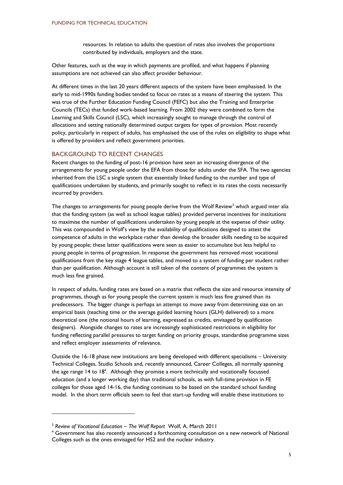resources. In relation to adults the question of rates also involves the proportions contributed by individuals, employers and the state.

Other features, such as the way in which payments are profiled, and what happens if planning assumptions are not achieved can also affect provider behaviour.

At different times in the last 20 years different aspects of the system have been emphasised. In the early to mid-1990s funding bodies tended to focus on rates as a means of steering the system. This was true of the Further Education Funding Council (FEFC) but also the Training and Enterprise Councils (TECs) that funded work-based learning. From 2002 they were combined to form the Learning and Skills Council (LSC), which increasingly sought to manage through the control of allocations and setting nationally determined output targets for types of provision. Most recently policy, particularly in respect of adults, has emphasised the use of the rules on eligibility to shape what is offered by providers and reflect government priorities.

## BACKGROUND TO RECENT CHANGES

Recent changes to the funding of post-16 provision have seen an increasing divergence of the arrangements for young people under the EFA from those for adults under the SFA. The two agencies inherited from the LSC a single system that essentially linked funding to the number and type of qualifications undertaken by students, and primarily sought to reflect in its rates the costs necessarily incurred by providers.

The changes to arrangements for young people derive from the Wolf Review<sup>3</sup> which argued inter alia that the funding system (as well as school league tables) provided perverse incentives for institutions to maximise the number of qualifications undertaken by young people at the expense of their utility. This was compounded in Wolf's view by the availability of qualifications designed to attest the competence of adults in the workplace rather than develop the broader skills needing to be acquired by young people; these latter qualifications were seen as easier to accumulate but less helpful to young people in terms of progression. In response the government has removed most vocational qualifications from the key stage 4 league tables, and moved to a system of funding per student rather than per qualification. Although account is still taken of the content of programmes the system is much less fine grained.

In respect of adults, funding rates are based on a matrix that reflects the size and resource intensity of programmes, though as for young people the current system is much less fine grained than its predecessors. The bigger change is perhaps an attempt to move away from determining size on an empirical basis (teaching time or the average guided learning hours (GLH) delivered) to a more theoretical one (the notional hours of learning, expressed as credits, envisaged by qualification designers). Alongside changes to rates are increasingly sophisticated restrictions in eligibility for funding reflecting parallel pressures to target funding on priority groups, standardise programme sizes and reflect employer assessments of relevance.

Outside the 16-18 phase new institutions are being developed with different specialisms – University Technical Colleges, Studio Schools and, recently announced, Career Colleges, all normally spanning the age range 14 to 18<sup>4</sup>. Although they promise a more technically and vocationally focussed education (and a longer working day) than traditional schools, as with full-time provision in FE colleges for those aged 14-16, the funding continues to be based on the standard school funding model. In the short term officials seem to feel that start-up funding will enable these institutions to

-

<sup>3</sup> *Review of Vocational Education – The Wolf Report* Wolf, A. March 2011

<sup>4</sup> Government has also recently announced a forthcoming consultation on a new network of National Colleges such as the ones envisaged for HS2 and the nuclear industry.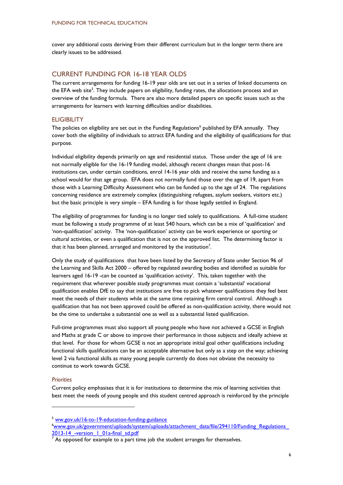cover any additional costs deriving from their different curriculum but in the longer term there are clearly issues to be addressed.

## CURRENT FUNDING FOR 16-18 YEAR OLDS

The current arrangements for funding 16-19 year olds are set out in a series of linked documents on the EFA web site<sup>5</sup>. They include papers on eligibility, funding rates, the allocations process and an overview of the funding formula. There are also more detailed papers on specific issues such as the arrangements for learners with learning difficulties and/or disabilities.

#### **ELIGIBILITY**

The policies on eligibility are set out in the Funding Regulations<sup>6</sup> published by EFA annually. They cover both the eligibility of individuals to attract EFA funding and the eligibility of qualifications for that purpose.

Individual eligibility depends primarily on age and residential status. Those under the age of 16 are not normally eligible for the 16-19 funding model, although recent changes mean that post-16 institutions can, under certain conditions, enrol 14-16 year olds and receive the same funding as a school would for that age group. EFA does not normally fund those over the age of 19, apart from those with a Learning Difficulty Assessment who can be funded up to the age of 24. The regulations concerning residence are extremely complex (distinguishing refugees, asylum seekers, visitors etc.) but the basic principle is very simple – EFA funding is for those legally settled in England.

The eligibility of programmes for funding is no longer tied solely to qualifications. A full-time student must be following a study programme of at least 540 hours, which can be a mix of 'qualification' and 'non-qualification' activity. The 'non-qualification' activity can be work experience or sporting or cultural activities, or even a qualification that is not on the approved list. The determining factor is that it has been planned, arranged and monitored by the institution<sup>7</sup>.

Only the study of qualifications that have been listed by the Secretary of State under Section 96 of the Learning and Skills Act 2000 – offered by regulated awarding bodies and identified as suitable for learners aged 16-19 -can be counted as 'qualification activity'. This, taken together with the requirement that wherever possible study programmes must contain a 'substantial' vocational qualification enables DfE to say that institutions are free to pick whatever qualifications they feel best meet the needs of their students while at the same time retaining firm central control. Although a qualification that has not been approved could be offered as non-qualification activity, there would not be the time to undertake a substantial one as well as a substantial listed qualification.

Full-time programmes must also support all young people who have not achieved a GCSE in English and Maths at grade C or above to improve their performance in those subjects and ideally achieve at that level. For those for whom GCSE is not an appropriate initial goal other qualifications including functional skills qualifications can be an acceptable alternative but only as a step on the way; achieving level 2 via functional skills as many young people currently do does not obviate the necessity to continue to work towards GCSE.

#### *Priorities*

-

Current policy emphasises that it is for institutions to determine the mix of learning activities that best meet the needs of young people and this student centred approach is reinforced by the principle

<sup>5</sup> [ww.gov.uk/16-to-19-education-funding-guidance](http://www.gov.uk/16-to-19-education-funding-guidance) 

<sup>6</sup>[www.gov.uk/government/uploads/system/uploads/attachment\\_data/file/294110/Funding\\_Regulations\\_](http://www.gov.uk/government/uploads/system/uploads/attachment_data/file/294110/Funding_Regulations_2013-14_-version_1_01a-final_sd.pdf) 2013-14 -version 1 01a-final sd.pdf

 $\overline{7}$  As opposed for example to a part time job the student arranges for themselves.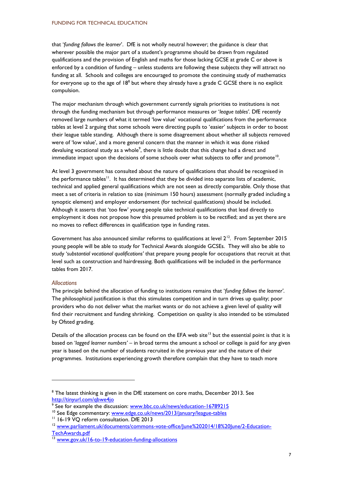that '*funding follows the learner*'. DfE is not wholly neutral however; the guidance is clear that wherever possible the major part of a student's programme should be drawn from regulated qualifications and the provision of English and maths for those lacking GCSE at grade C or above is enforced by a condition of funding – unless students are following these subjects they will attract no funding at all. Schools and colleges are encouraged to promote the continuing study of mathematics for everyone up to the age of  $18^8$  but where they already have a grade C GCSE there is no explicit compulsion.

The major mechanism through which government currently signals priorities to institutions is not through the funding mechanism but through performance measures or '*league tables'.* DfE recently removed large numbers of what it termed 'low value' vocational qualifications from the performance tables at level 2 arguing that some schools were directing pupils to 'easier' subjects in order to boost their league table standing. Although there is some disagreement about whether all subjects removed were of 'low value', and a more general concern that the manner in which it was done risked devaluing vocational study as a whole<sup>9</sup>, there is little doubt that this change had a direct and immediate impact upon the decisions of some schools over what subjects to offer and promote<sup>10</sup>.

At level 3 government has consulted about the nature of qualifications that should be recognised in the performance tables<sup>11</sup>. It has determined that they be divided into separate lists of academic, technical and applied general qualifications which are not seen as directly comparable. Only those that meet a set of criteria in relation to size (minimum 150 hours) assessment (normally graded including a synoptic element) and employer endorsement (for technical qualifications) should be included. Although it asserts that 'too few' young people take technical qualifications that lead directly to employment it does not propose how this presumed problem is to be rectified; and as yet there are no moves to reflect differences in qualification type in funding rates.

Government has also announced similar reforms to qualifications at level  $2^{12}$ . From September 2015 young people will be able to study for Technical Awards alongside GCSEs. They will also be able to study '*substantial vocational qualifications'* that prepare young people for occupations that recruit at that level such as construction and hairdressing. Both qualifications will be included in the performance tables from 2017.

#### *Allocations*

1

The principle behind the allocation of funding to institutions remains that '*funding follows the learner'*. The philosophical justification is that this stimulates competition and in turn drives up quality; poor providers who do not deliver what the market wants or do not achieve a given level of quality will find their recruitment and funding shrinking. Competition on quality is also intended to be stimulated by Ofsted grading.

Details of the allocation process can be found on the EFA web site<sup>13</sup> but the essential point is that it is based on '*lagged learner numbers'* – in broad terms the amount a school or college is paid for any given year is based on the number of students recruited in the previous year and the nature of their programmes. Institutions experiencing growth therefore complain that they have to teach more

<sup>&</sup>lt;sup>8</sup> The latest thinking is given in the DfE statement on core maths, December 2013. See <http://tinyurl.com/qbwe4jo>

<sup>&</sup>lt;sup>9</sup> See for example the discussion: <u>www.bbc.co.uk/news/education-16789215</u>

<sup>10</sup> See Edge commentary: [www.edge.co.uk/news/2013/january/league-tables](http://www.edge.co.uk/news/2013/january/league-tables) 

<sup>&</sup>lt;sup>11</sup> 16-19 VQ reform consultation. DfE 2013

<sup>&</sup>lt;sup>12</sup> [www.parliament.uk/documents/commons-vote-office/June%202014/18%20June/2-Education-](http://www.parliament.uk/documents/commons-vote-office/June%202014/18%20June/2-Education-TechAwards.pdf)[TechAwards.pdf](http://www.parliament.uk/documents/commons-vote-office/June%202014/18%20June/2-Education-TechAwards.pdf)

<sup>13</sup> [www.gov.uk/16-to-19-education-funding-allocations](http://www.gov.uk/16-to-19-education-funding-allocations)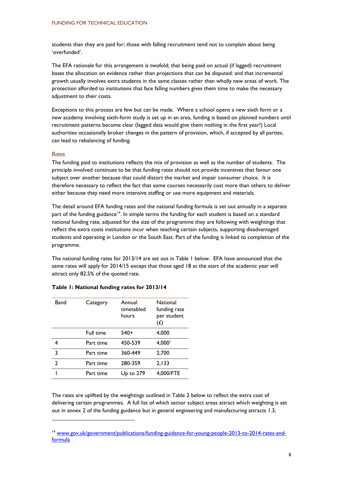students than they are paid for; those with falling recruitment tend not to complain about being 'overfunded'.

The EFA rationale for this arrangement is twofold; that being paid on actual (if lagged) recruitment bases the allocation on evidence rather than projections that can be disputed: and that incremental growth usually involves extra students in the same classes rather than wholly new areas of work. The protection afforded to institutions that face falling numbers gives them time to make the necessary adjustment to their costs.

Exceptions to this process are few but can be made. Where a school opens a new sixth form or a new academy involving sixth-form study is set up in an area, funding is based on planned numbers until recruitment patterns become clear (lagged data would give them nothing in the first year!) Local authorities occasionally broker changes in the pattern of provision, which, if accepted by all parties, can lead to rebalancing of funding.

#### *Rates*

-

The funding paid to institutions reflects the mix of provision as well as the number of students. The principle involved continues to be that funding rates should not provide incentives that favour one subject over another because that could distort the market and impair consumer choice. It is therefore necessary to reflect the fact that some courses necessarily cost more than others to deliver either because they need more intensive staffing or use more equipment and materials.

The detail around EFA funding rates and the national funding formula is set out annually in a separate part of the funding guidance<sup>14</sup>. In simple terms the funding for each student is based on a standard national funding rate, adjusted for the size of the programme they are following with weightings that reflect the extra costs institutions incur when teaching certain subjects, supporting disadvantaged students and operating in London or the South East. Part of the funding is linked to completion of the programme.

The national funding rates for 2013/14 are set out in Table 1 below. EFA have announced that the same rates will apply for 2014/15 except that those aged 18 at the start of the academic year will attract only 82.5% of the quoted rate.

| Band           | Category  | Annual<br>timetabled<br>hours | <b>National</b><br>funding rate<br>per student<br>$(\mathcal{L})$ |  |
|----------------|-----------|-------------------------------|-------------------------------------------------------------------|--|
|                | Full time | $540+$                        | 4,000                                                             |  |
|                | Part time | 450-539                       | $4,000^{\circ}$                                                   |  |
| 3              | Part time | 360-449                       | 2,700                                                             |  |
| $\overline{2}$ | Part time | 280-359                       | 2,133                                                             |  |
|                | Part time | Up to 279                     | 4,000/FTE                                                         |  |

#### **Table 1: National funding rates for 2013/14**

The rates are uplifted by the weightings outlined in Table 2 below to reflect the extra cost of delivering certain programmes. A full list of which sector subject areas attract which weighting is set out in annex 2 of the funding guidance but in general engineering and manufacturing attracts 1.3,

<sup>14</sup> [www.gov.uk/government/publications/funding-guidance-for-young-people-2013-to-2014-rates-and](http://www.gov.uk/government/publications/funding-guidance-for-young-people-2013-to-2014-rates-and-formula)[formula](http://www.gov.uk/government/publications/funding-guidance-for-young-people-2013-to-2014-rates-and-formula)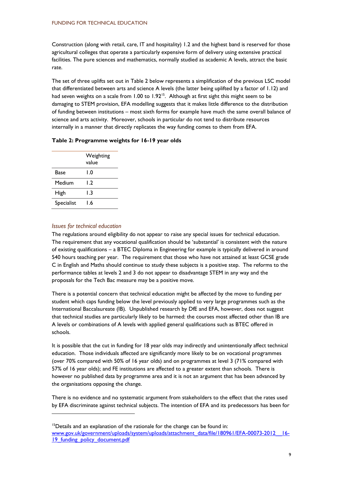Construction (along with retail, care, IT and hospitality) 1.2 and the highest band is reserved for those agricultural colleges that operate a particularly expensive form of delivery using extensive practical facilities. The pure sciences and mathematics, normally studied as academic A levels, attract the basic rate.

The set of three uplifts set out in Table 2 below represents a simplification of the previous LSC model that differentiated between arts and science A levels (the latter being uplifted by a factor of 1.12) and had seven weights on a scale from  $1.00$  to  $1.92^{15}$ . Although at first sight this might seem to be damaging to STEM provision, EFA modelling suggests that it makes little difference to the distribution of funding between institutions – most sixth forms for example have much the same overall balance of science and arts activity. Moreover, schools in particular do not tend to distribute resources internally in a manner that directly replicates the way funding comes to them from EFA.

## **Table 2: Programme weights for 16-19 year olds**

|            | Weighting<br>value |  |
|------------|--------------------|--|
| Base       | l.O                |  |
| Medium     | l.2                |  |
| High       | l 3                |  |
| Specialist | l.6                |  |

## *Issues for technical education*

-

The regulations around eligibility do not appear to raise any special issues for technical education. The requirement that any vocational qualification should be 'substantial' is consistent with the nature of existing qualifications – a BTEC Diploma in Engineering for example is typically delivered in around 540 hours teaching per year. The requirement that those who have not attained at least GCSE grade C in English and Maths should continue to study these subjects is a positive step. The reforms to the performance tables at levels 2 and 3 do not appear to disadvantage STEM in any way and the proposals for the Tech Bac measure may be a positive move.

There is a potential concern that technical education might be affected by the move to funding per student which caps funding below the level previously applied to very large programmes such as the International Baccalaureate (IB). Unpublished research by DfE and EFA, however, does not suggest that technical studies are particularly likely to be harmed: the courses most affected other than IB are A levels or combinations of A levels with applied general qualifications such as BTEC offered in schools.

It is possible that the cut in funding for 18 year olds may indirectly and unintentionally affect technical education. Those individuals affected are significantly more likely to be on vocational programmes (over 70% compared with 50% of 16 year olds) and on programmes at level 3 (71% compared with 57% of 16 year olds); and FE institutions are affected to a greater extent than schools. There is however no published data by programme area and it is not an argument that has been advanced by the organisations opposing the change.

There is no evidence and no systematic argument from stakeholders to the effect that the rates used by EFA discriminate against technical subjects. The intention of EFA and its predecessors has been for

<sup>&</sup>lt;sup>15</sup>Details and an explanation of the rationale for the change can be found in: [www.gov.uk/government/uploads/system/uploads/attachment\\_data/file/180961/EFA-00073-2012\\_\\_16-](http://www.gov.uk/government/uploads/system/uploads/attachment_data/file/180961/EFA-00073-2012__16-19_funding_policy_document.pdf) 19 funding policy document.pdf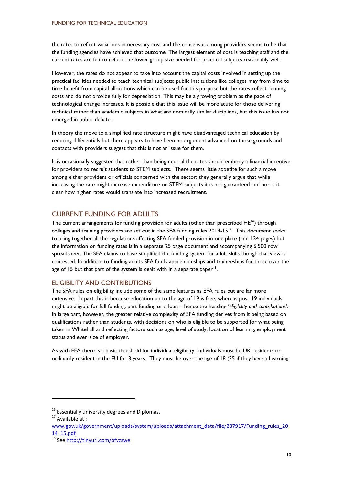the rates to reflect variations in necessary cost and the consensus among providers seems to be that the funding agencies have achieved that outcome. The largest element of cost is teaching staff and the current rates are felt to reflect the lower group size needed for practical subjects reasonably well.

However, the rates do not appear to take into account the capital costs involved in setting up the practical facilities needed to teach technical subjects; public institutions like colleges may from time to time benefit from capital allocations which can be used for this purpose but the rates reflect running costs and do not provide fully for depreciation. This may be a growing problem as the pace of technological change increases. It is possible that this issue will be more acute for those delivering technical rather than academic subjects in what are nominally similar disciplines, but this issue has not emerged in public debate.

In theory the move to a simplified rate structure might have disadvantaged technical education by reducing differentials but there appears to have been no argument advanced on those grounds and contacts with providers suggest that this is not an issue for them.

It is occasionally suggested that rather than being neutral the rates should embody a financial incentive for providers to recruit students to STEM subjects. There seems little appetite for such a move among either providers or officials concerned with the sector; they generally argue that while increasing the rate might increase expenditure on STEM subjects it is not guaranteed and nor is it clear how higher rates would translate into increased recruitment.

# CURRENT FUNDING FOR ADULTS

The current arrangements for funding provision for adults (other than prescribed  $HE^{16}$ ) through colleges and training providers are set out in the SFA funding rules 2014-15<sup>17</sup>. This document seeks to bring together all the regulations affecting SFA-funded provision in one place (and 134 pages) but the information on funding rates is in a separate 25 page document and accompanying 6,500 row spreadsheet. The SFA claims to have simplified the funding system for adult skills though that view is contested. In addition to funding adults SFA funds apprenticeships and traineeships for those over the age of 15 but that part of the system is dealt with in a separate paper<sup>18</sup>.

# ELIGIBILITY AND CONTRIBUTIONS

The SFA rules on eligibility include some of the same features as EFA rules but are far more extensive. In part this is because education up to the age of 19 is free, whereas post-19 individuals might be eligible for full funding, part funding or a loan – hence the heading '*eligibility and contributions'*. In large part, however, the greater relative complexity of SFA funding derives from it being based on qualifications rather than students, with decisions on who is eligible to be supported for what being taken in Whitehall and reflecting factors such as age, level of study, location of learning, employment status and even size of employer.

As with EFA there is a basic threshold for individual eligibility; individuals must be UK residents or ordinarily resident in the EU for 3 years. They must be over the age of 18 (25 if they have a Learning

-

 $16$  Essentially university degrees and Diplomas.

<sup>&</sup>lt;sup>17</sup> Available at :

[www.gov.uk/government/uploads/system/uploads/attachment\\_data/file/287917/Funding\\_rules\\_20](http://www.gov.uk/government/uploads/system/uploads/attachment_data/file/287917/Funding_rules_2014_15.pdf) [14\\_15.pdf](http://www.gov.uk/government/uploads/system/uploads/attachment_data/file/287917/Funding_rules_2014_15.pdf)

<sup>18</sup> Se[e http://tinyurl.com/ofvzswe](http://tinyurl.com/ofvzswe)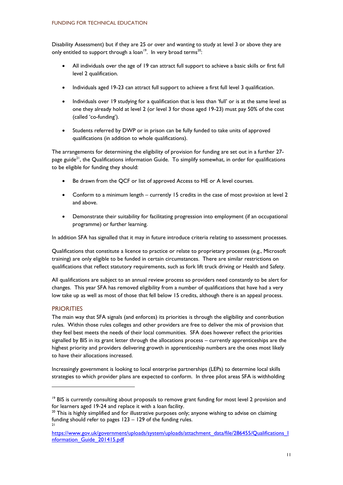Disability Assessment) but if they are 25 or over and wanting to study at level 3 or above they are only entitled to support through a loan<sup>19</sup>. In very broad terms<sup>20</sup>:

- All individuals over the age of 19 can attract full support to achieve a basic skills or first full level 2 qualification.
- Individuals aged 19-23 can attract full support to achieve a first full level 3 qualification.
- Individuals over 19 studying for a qualification that is less than 'full' or is at the same level as one they already hold at level 2 (or level 3 for those aged 19-23) must pay 50% of the cost (called 'co-funding').
- Students referred by DWP or in prison can be fully funded to take units of approved qualifications (in addition to whole qualifications).

The arrangements for determining the eligibility of provision for funding are set out in a further 27 page guide<sup>21</sup>, the Qualifications information Guide. To simplify somewhat, in order for qualifications to be eligible for funding they should:

- Be drawn from the QCF or list of approved Access to HE or A level courses.
- Conform to a minimum length currently 15 credits in the case of most provision at level 2 and above.
- Demonstrate their suitability for facilitating progression into employment (if an occupational programme) or further learning.

In addition SFA has signalled that it may in future introduce criteria relating to assessment processes.

Qualifications that constitute a licence to practice or relate to proprietary processes (e.g., Microsoft training) are only eligible to be funded in certain circumstances. There are similar restrictions on qualifications that reflect statutory requirements, such as fork lift truck driving or Health and Safety.

All qualifications are subject to an annual review process so providers need constantly to be alert for changes. This year SFA has removed eligibility from a number of qualifications that have had a very low take up as well as most of those that fell below 15 credits, although there is an appeal process.

# **PRIORITIES**

1

The main way that SFA signals (and enforces) its priorities is through the eligibility and contribution rules. Within those rules colleges and other providers are free to deliver the mix of provision that they feel best meets the needs of their local communities. SFA does however reflect the priorities signalled by BIS in its grant letter through the allocations process – currently apprenticeships are the highest priority and providers delivering growth in apprenticeship numbers are the ones most likely to have their allocations increased.

Increasingly government is looking to local enterprise partnerships (LEPs) to determine local skills strategies to which provider plans are expected to conform. In three pilot areas SFA is withholding

<sup>&</sup>lt;sup>19</sup> BIS is currently consulting about proposals to remove grant funding for most level 2 provision and for learners aged 19-24 and replace it with a loan facility.

 $20$  This is highly simplified and for illustrative purposes only; anyone wishing to advise on claiming funding should refer to pages 123 – 129 of the funding rules.  $21$ 

[https://www.gov.uk/government/uploads/system/uploads/attachment\\_data/file/286455/Qualifications\\_I](https://www.gov.uk/government/uploads/system/uploads/attachment_data/file/286455/Qualifications_Information_Guide_201415.pdf) [nformation\\_Guide\\_201415.pdf](https://www.gov.uk/government/uploads/system/uploads/attachment_data/file/286455/Qualifications_Information_Guide_201415.pdf)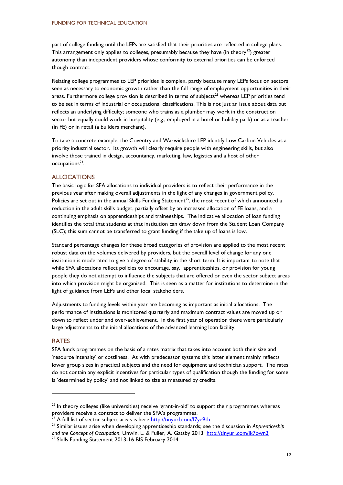part of college funding until the LEPs are satisfied that their priorities are reflected in college plans. This arrangement only applies to colleges, presumably because they have (in theory<sup>22</sup>) greater autonomy than independent providers whose conformity to external priorities can be enforced though contract.

Relating college programmes to LEP priorities is complex, partly because many LEPs focus on sectors seen as necessary to economic growth rather than the full range of employment opportunities in their areas. Furthermore college provision is described in terms of subjects<sup>23</sup> whereas LEP priorities tend to be set in terms of industrial or occupational classifications. This is not just an issue about data but reflects an underlying difficulty; someone who trains as a plumber may work in the construction sector but equally could work in hospitality (e.g., employed in a hotel or holiday park) or as a teacher (in FE) or in retail (a builders merchant).

To take a concrete example, the Coventry and Warwickshire LEP identify Low Carbon Vehicles as a priority industrial sector. Its growth will clearly require people with engineering skills, but also involve those trained in design, accountancy, marketing, law, logistics and a host of other occupations<sup>24</sup>.

## ALLOCATIONS

The basic logic for SFA allocations to individual providers is to reflect their performance in the previous year after making overall adjustments in the light of any changes in government policy. Policies are set out in the annual Skills Funding Statement<sup>25</sup>, the most recent of which announced a reduction in the adult skills budget, partially offset by an increased allocation of FE loans, and a continuing emphasis on apprenticeships and traineeships. The indicative allocation of loan funding identifies the total that students at that institution can draw down from the Student Loan Company (SLC); this sum cannot be transferred to grant funding if the take up of loans is low.

Standard percentage changes for these broad categories of provision are applied to the most recent robust data on the volumes delivered by providers, but the overall level of change for any one institution is moderated to give a degree of stability in the short term. It is important to note that while SFA allocations reflect policies to encourage, say, apprenticeships, or provision for young people they do not attempt to influence the subjects that are offered or even the sector subject areas into which provision might be organised. This is seen as a matter for institutions to determine in the light of guidance from LEPs and other local stakeholders.

Adjustments to funding levels within year are becoming as important as initial allocations. The performance of institutions is monitored quarterly and maximum contract values are moved up or down to reflect under and over-achievement. In the first year of operation there were particularly large adjustments to the initial allocations of the advanced learning loan facility.

#### RATES

1

SFA funds programmes on the basis of a rates matrix that takes into account both their size and 'resource intensity' or costliness. As with predecessor systems this latter element mainly reflects lower group sizes in practical subjects and the need for equipment and technician support. The rates do not contain any explicit incentives for particular types of qualification though the funding for some is 'determined by policy' and not linked to size as measured by credits.

 $22$  In theory colleges (like universities) receive 'grant-in-aid' to support their programmes whereas providers receive a contract to deliver the SFA's programmes.

<sup>&</sup>lt;sup>23</sup> A full list of sector subject areas is here<http://tinyurl.com/l7ye9th>

<sup>24</sup> Similar issues arise when developing apprenticeship standards; see the discussion in *Apprenticeship and the Concept of Occupation*, Unwin, L. & Fuller, A. Gatsby 2013 <http://tinyurl.com/lk7own3>

<sup>&</sup>lt;sup>25</sup> Skills Funding Statement 2013-16 BIS February 2014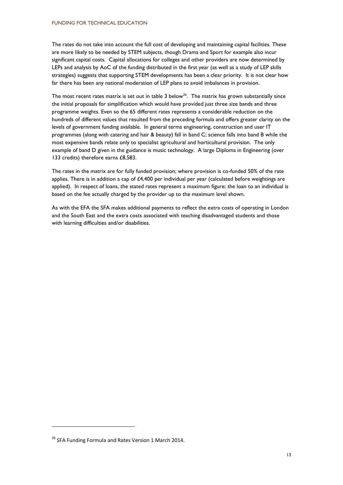The rates do not take into account the full cost of developing and maintaining capital facilities. These are more likely to be needed by STEM subjects, though Drama and Sport for example also incur significant capital costs. Capital allocations for colleges and other providers are now determined by LEPs and analysis by AoC of the funding distributed in the first year (as well as a study of LEP skills strategies) suggests that supporting STEM developments has been a clear priority. It is not clear how far there has been any national moderation of LEP plans to avoid imbalances in provision.

The most recent rates matrix is set out in table 3 below<sup>26</sup>. The matrix has grown substantially since the initial proposals for simplification which would have provided just three size bands and three programme weights. Even so the 65 different rates represents a considerable reduction on the hundreds of different values that resulted from the preceding formula and offers greater clarity on the levels of government funding available. In general terms engineering, construction and user IT programmes (along with catering and hair & beauty) fall in band C; science falls into band B while the most expensive bands relate only to specialist agricultural and horticultural provision. The only example of band D given in the guidance is music technology. A large Diploma in Engineering (over 133 credits) therefore earns £8,583.

The rates in the matrix are for fully funded provision; where provision is co-funded 50% of the rate applies. There is in addition a cap of  $£4,400$  per individual per year (calculated before weightings are applied). In respect of loans, the stated rates represent a maximum figure; the loan to an individual is based on the fee actually charged by the provider up to the maximum level shown.

As with the EFA the SFA makes additional payments to reflect the extra costs of operating in London and the South East and the extra costs associated with teaching disadvantaged students and those with learning difficulties and/or disabilities.

<sup>&</sup>lt;sup>26</sup> SFA Funding Formula and Rates Version 1 March 2014.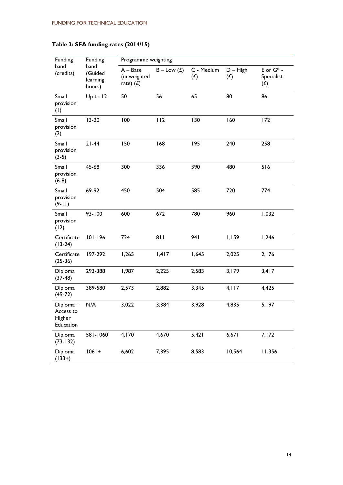| Funding<br>band<br>(credits)                 | Funding<br>band<br>(Guided<br>learning<br>hours) | Programme weighting                      |               |                   |                   |                                   |
|----------------------------------------------|--------------------------------------------------|------------------------------------------|---------------|-------------------|-------------------|-----------------------------------|
|                                              |                                                  | $A - Base$<br>(unweighted<br>rate) $(L)$ | $B - Low (f)$ | C - Medium<br>(f) | $D - High$<br>(L) | E or $G^*$ -<br>Specialist<br>(f) |
| Small<br>provision<br>(1)                    | Up to 12                                         | 50                                       | 56            | 65                | 80                | 86                                |
| Small<br>provision<br>(2)                    | $13-20$                                          | 100                                      | 112           | 130               | 160               | 172                               |
| Small<br>provision<br>$(3-5)$                | $21 - 44$                                        | 150                                      | 168           | 195               | 240               | 258                               |
| Small<br>provision<br>$(6-8)$                | 45-68                                            | 300                                      | 336           | 390               | 480               | 516                               |
| Small<br>provision<br>$(9-11)$               | 69-92                                            | 450                                      | 504           | 585               | 720               | 774                               |
| Small<br>provision<br>(12)                   | 93-100                                           | 600                                      | 672           | 780               | 960               | 1,032                             |
| Certificate<br>$(13-24)$                     | $101 - 196$                                      | 724                                      | 811           | 941               | 1,159             | 1,246                             |
| Certificate<br>$(25-36)$                     | 197-292                                          | 1,265                                    | 1,417         | 1,645             | 2,025             | 2,176                             |
| Diploma<br>$(37-48)$                         | 293-388                                          | 1,987                                    | 2,225         | 2,583             | 3,179             | 3,417                             |
| Diploma<br>$(49-72)$                         | 389-580                                          | 2,573                                    | 2,882         | 3,345             | 4,117             | 4,425                             |
| Diploma-<br>Access to<br>Higher<br>Education | N/A                                              | 3,022                                    | 3,384         | 3,928             | 4,835             | 5,197                             |
| Diploma<br>$(73 - 132)$                      | 581-1060                                         | 4,170                                    | 4,670         | 5,421             | 6,671             | 7,172                             |
| Diploma<br>$(133+)$                          | $1061 +$                                         | 6,602                                    | 7,395         | 8,583             | 10,564            | 11,356                            |

# **Table 3: SFA funding rates (2014/15)**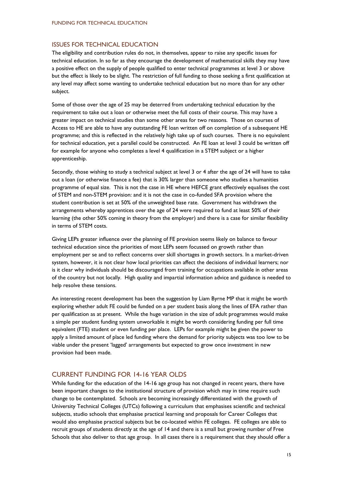## ISSUES FOR TECHNICAL EDUCATION

The eligibility and contribution rules do not, in themselves, appear to raise any specific issues for technical education. In so far as they encourage the development of mathematical skills they may have a positive effect on the supply of people qualified to enter technical programmes at level 3 or above but the effect is likely to be slight. The restriction of full funding to those seeking a first qualification at any level may affect some wanting to undertake technical education but no more than for any other subject.

Some of those over the age of 25 may be deterred from undertaking technical education by the requirement to take out a loan or otherwise meet the full costs of their course. This may have a greater impact on technical studies than some other areas for two reasons. Those on courses of Access to HE are able to have any outstanding FE loan written off on completion of a subsequent HE programme; and this is reflected in the relatively high take up of such courses. There is no equivalent for technical education, yet a parallel could be constructed. An FE loan at level 3 could be written off for example for anyone who completes a level 4 qualification in a STEM subject or a higher apprenticeship.

Secondly, those wishing to study a technical subject at level 3 or 4 after the age of 24 will have to take out a loan (or otherwise finance a fee) that is 30% larger than someone who studies a humanities programme of equal size. This is not the case in HE where HEFCE grant effectively equalises the cost of STEM and non-STEM provision: and it is not the case in co-funded SFA provision where the student contribution is set at 50% of the unweighted base rate. Government has withdrawn the arrangements whereby apprentices over the age of 24 were required to fund at least 50% of their learning (the other 50% coming in theory from the employer) and there is a case for similar flexibility in terms of STEM costs.

Giving LEPs greater influence over the planning of FE provision seems likely on balance to favour technical education since the priorities of most LEPs seem focussed on growth rather than employment per se and to reflect concerns over skill shortages in growth sectors. In a market-driven system, however, it is not clear how local priorities can affect the decisions of individual learners; nor is it clear why individuals should be discouraged from training for occupations available in other areas of the country but not locally. High quality and impartial information advice and guidance is needed to help resolve these tensions.

An interesting recent development has been the suggestion by Liam Byrne MP that it might be worth exploring whether adult FE could be funded on a per student basis along the lines of EFA rather than per qualification as at present. While the huge variation in the size of adult programmes would make a simple per student funding system unworkable it might be worth considering funding per full time equivalent (FTE) student or even funding per place. LEPs for example might be given the power to apply a limited amount of place led funding where the demand for priority subjects was too low to be viable under the present 'lagged' arrangements but expected to grow once investment in new provision had been made.

# CURRENT FUNDING FOR 14-16 YEAR OLDS

While funding for the education of the 14-16 age group has not changed in recent years, there have been important changes to the institutional structure of provision which may in time require such change to be contemplated. Schools are becoming increasingly differentiated with the growth of University Technical Colleges (UTCs) following a curriculum that emphasises scientific and technical subjects, studio schools that emphasise practical learning and proposals for Career Colleges that would also emphasise practical subjects but be co-located within FE colleges. FE colleges are able to recruit groups of students directly at the age of 14 and there is a small but growing number of Free Schools that also deliver to that age group. In all cases there is a requirement that they should offer a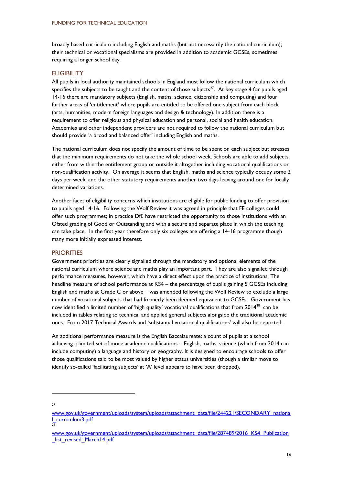broadly based curriculum including English and maths (but not necessarily the national curriculum); their technical or vocational specialisms are provided in addition to academic GCSEs, sometimes requiring a longer school day.

#### **ELIGIBILITY**

All pupils in local authority maintained schools in England must follow the national curriculum which specifies the subjects to be taught and the content of those subjects<sup>27</sup>. At key stage 4 for pupils aged 14-16 there are mandatory subjects (English, maths, science, citizenship and computing) and four further areas of 'entitlement' where pupils are entitled to be offered one subject from each block (arts, humanities, modern foreign languages and design & technology). In addition there is a requirement to offer religious and physical education and personal, social and health education. Academies and other independent providers are not required to follow the national curriculum but should provide 'a broad and balanced offer' including English and maths.

The national curriculum does not specify the amount of time to be spent on each subject but stresses that the minimum requirements do not take the whole school week. Schools are able to add subjects, either from within the entitlement group or outside it altogether including vocational qualifications or non-qualification activity. On average it seems that English, maths and science typically occupy some 2 days per week, and the other statutory requirements another two days leaving around one for locally determined variations.

Another facet of eligibility concerns which institutions are eligible for public funding to offer provision to pupils aged 14-16. Following the Wolf Review it was agreed in principle that FE colleges could offer such programmes; in practice DfE have restricted the opportunity to those institutions with an Ofsted grading of Good or Outstanding and with a secure and separate place in which the teaching can take place. In the first year therefore only six colleges are offering a 14-16 programme though many more initially expressed interest.

#### **PRIORITIES**

Government priorities are clearly signalled through the mandatory and optional elements of the national curriculum where science and maths play an important part. They are also signalled through performance measures, however, which have a direct effect upon the practice of institutions. The headline measure of school performance at KS4 – the percentage of pupils gaining 5 GCSEs including English and maths at Grade C or above – was amended following the Wolf Review to exclude a large number of vocational subjects that had formerly been deemed equivalent to GCSEs. Government has now identified a limited number of 'high quality' vocational qualifications that from 2014<sup>28</sup> can be included in tables relating to technical and applied general subjects alongside the traditional academic ones. From 2017 Technical Awards and 'substantial vocational qualifications' will also be reported.

An additional performance measure is the English Baccalaureate; a count of pupils at a school achieving a limited set of more academic qualifications – English, maths, science (which from 2014 can include computing) a language and history or geography. It is designed to encourage schools to offer those qualifications said to be most valued by higher status universities (though a similar move to identify so-called 'facilitating subjects' at 'A' level appears to have been dropped).

27

[www.gov.uk/government/uploads/system/uploads/attachment\\_data/file/244221/SECONDARY\\_nationa](http://www.gov.uk/government/uploads/system/uploads/attachment_data/file/244221/SECONDARY_national_curriculum3.pdf) [l\\_curriculum3.pdf](http://www.gov.uk/government/uploads/system/uploads/attachment_data/file/244221/SECONDARY_national_curriculum3.pdf)  28

[www.gov.uk/government/uploads/system/uploads/attachment\\_data/file/287489/2016\\_KS4\\_Publication](http://www.gov.uk/government/uploads/system/uploads/attachment_data/file/287489/2016_KS4_Publication_list_revised_March14.pdf) list\_revised\_March14.pdf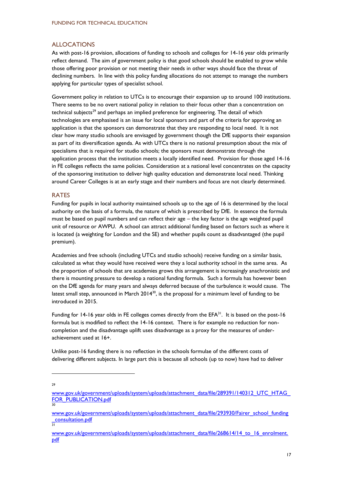## ALLOCATIONS

As with post-16 provision, allocations of funding to schools and colleges for 14-16 year olds primarily reflect demand. The aim of government policy is that good schools should be enabled to grow while those offering poor provision or not meeting their needs in other ways should face the threat of declining numbers. In line with this policy funding allocations do not attempt to manage the numbers applying for particular types of specialist school.

Government policy in relation to UTCs is to encourage their expansion up to around 100 institutions. There seems to be no overt national policy in relation to their focus other than a concentration on technical subjects<sup>29</sup> and perhaps an implied preference for engineering. The detail of which technologies are emphasised is an issue for local sponsors and part of the criteria for approving an application is that the sponsors can demonstrate that they are responding to local need. It is not clear how many studio schools are envisaged by government though the DfE supports their expansion as part of its diversification agenda. As with UTCs there is no national presumption about the mix of specialisms that is required for studio schools; the sponsors must demonstrate through the application process that the institution meets a locally identified need. Provision for those aged 14-16 in FE colleges reflects the same policies. Consideration at a national level concentrates on the capacity of the sponsoring institution to deliver high quality education and demonstrate local need. Thinking around Career Colleges is at an early stage and their numbers and focus are not clearly determined.

#### RATES

Funding for pupils in local authority maintained schools up to the age of 16 is determined by the local authority on the basis of a formula, the nature of which is prescribed by DfE. In essence the formula must be based on pupil numbers and can reflect their age – the key factor is the age weighted pupil unit of resource or AWPU. A school can attract additional funding based on factors such as where it is located (a weighting for London and the SE) and whether pupils count as disadvantaged (the pupil premium).

Academies and free schools (including UTCs and studio schools) receive funding on a similar basis, calculated as what they would have received were they a local authority school in the same area. As the proportion of schools that are academies grows this arrangement is increasingly anachronistic and there is mounting pressure to develop a national funding formula. Such a formula has however been on the DfE agenda for many years and always deferred because of the turbulence it would cause. The latest small step, announced in March 2014 $30$ , is the proposal for a minimum level of funding to be introduced in 2015.

Funding for 14-16 year olds in FE colleges comes directly from the EFA<sup>31</sup>. It is based on the post-16 formula but is modified to reflect the 14-16 context. There is for example no reduction for noncompletion and the disadvantage uplift uses disadvantage as a proxy for the measures of underachievement used at 16+.

Unlike post-16 funding there is no reflection in the schools formulae of the different costs of delivering different subjects. In large part this is because all schools (up to now) have had to deliver

29

[www.gov.uk/government/uploads/system/uploads/attachment\\_data/file/289391/140312\\_UTC\\_HTAG\\_](http://www.gov.uk/government/uploads/system/uploads/attachment_data/file/289391/140312_UTC_HTAG_FOR_PUBLICATION.pdf) [FOR\\_PUBLICATION.pdf](http://www.gov.uk/government/uploads/system/uploads/attachment_data/file/289391/140312_UTC_HTAG_FOR_PUBLICATION.pdf)  30

[www.gov.uk/government/uploads/system/uploads/attachment\\_data/file/293930/Fairer\\_school\\_funding](http://www.gov.uk/government/uploads/system/uploads/attachment_data/file/293930/Fairer_school_funding_consultation.pdf) [\\_consultation.pdf](http://www.gov.uk/government/uploads/system/uploads/attachment_data/file/293930/Fairer_school_funding_consultation.pdf) 31

[www.gov.uk/government/uploads/system/uploads/attachment\\_data/file/268614/14\\_to\\_16\\_enrolment.](http://www.gov.uk/government/uploads/system/uploads/attachment_data/file/268614/14_to_16_enrolment.pdf) [pdf](http://www.gov.uk/government/uploads/system/uploads/attachment_data/file/268614/14_to_16_enrolment.pdf)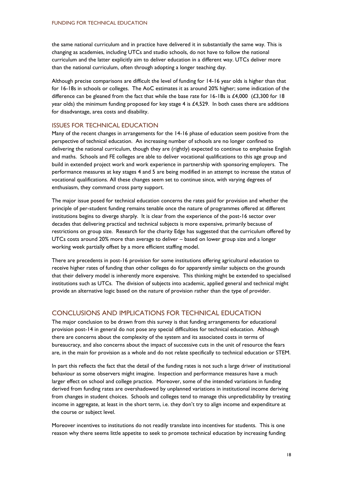the same national curriculum and in practice have delivered it in substantially the same way. This is changing as academies, including UTCs and studio schools, do not have to follow the national curriculum and the latter explicitly aim to deliver education in a different way. UTCs deliver more than the national curriculum, often through adopting a longer teaching day.

Although precise comparisons are difficult the level of funding for 14-16 year olds is higher than that for 16-18s in schools or colleges. The AoC estimates it as around 20% higher; some indication of the difference can be gleaned from the fact that while the base rate for 16-18s is £4,000 (£3,300 for 18 year olds) the minimum funding proposed for key stage 4 is £4,529. In both cases there are additions for disadvantage, area costs and disability.

# ISSUES FOR TECHNICAL EDUCATION

Many of the recent changes in arrangements for the 14-16 phase of education seem positive from the perspective of technical education. An increasing number of schools are no longer confined to delivering the national curriculum, though they are (rightly) expected to continue to emphasise English and maths. Schools and FE colleges are able to deliver vocational qualifications to this age group and build in extended project work and work experience in partnership with sponsoring employers. The performance measures at key stages 4 and 5 are being modified in an attempt to increase the status of vocational qualifications. All these changes seem set to continue since, with varying degrees of enthusiasm, they command cross party support.

The major issue posed for technical education concerns the rates paid for provision and whether the principle of per-student funding remains tenable once the nature of programmes offered at different institutions begins to diverge sharply. It is clear from the experience of the post-16 sector over decades that delivering practical and technical subjects is more expensive, primarily because of restrictions on group size. Research for the charity Edge has suggested that the curriculum offered by UTCs costs around 20% more than average to deliver – based on lower group size and a longer working week partially offset by a more efficient staffing model.

There are precedents in post-16 provision for some institutions offering agricultural education to receive higher rates of funding than other colleges do for apparently similar subjects on the grounds that their delivery model is inherently more expensive. This thinking might be extended to specialised institutions such as UTCs. The division of subjects into academic, applied general and technical might provide an alternative logic based on the nature of provision rather than the type of provider.

# CONCLUSIONS AND IMPLICATIONS FOR TECHNICAL EDUCATION

The major conclusion to be drawn from this survey is that funding arrangements for educational provision post-14 in general do not pose any special difficulties for technical education. Although there are concerns about the complexity of the system and its associated costs in terms of bureaucracy, and also concerns about the impact of successive cuts in the unit of resource the fears are, in the main for provision as a whole and do not relate specifically to technical education or STEM.

In part this reflects the fact that the detail of the funding rates is not such a large driver of institutional behaviour as some observers might imagine. Inspection and performance measures have a much larger effect on school and college practice. Moreover, some of the intended variations in funding derived from funding rates are overshadowed by unplanned variations in institutional income deriving from changes in student choices. Schools and colleges tend to manage this unpredictability by treating income in aggregate, at least in the short term, i.e. they don't try to align income and expenditure at the course or subject level.

Moreover incentives to institutions do not readily translate into incentives for students. This is one reason why there seems little appetite to seek to promote technical education by increasing funding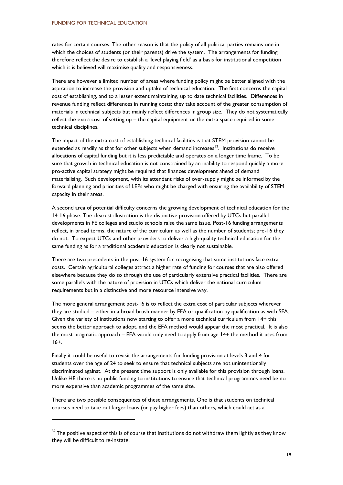rates for certain courses. The other reason is that the policy of all political parties remains one in which the choices of students (or their parents) drive the system. The arrangements for funding therefore reflect the desire to establish a 'level playing field' as a basis for institutional competition which it is believed will maximise quality and responsiveness.

There are however a limited number of areas where funding policy might be better aligned with the aspiration to increase the provision and uptake of technical education. The first concerns the capital cost of establishing, and to a lesser extent maintaining, up to date technical facilities. Differences in revenue funding reflect differences in running costs; they take account of the greater consumption of materials in technical subjects but mainly reflect differences in group size. They do not systematically reflect the extra cost of setting up – the capital equipment or the extra space required in some technical disciplines.

The impact of the extra cost of establishing technical facilities is that STEM provision cannot be extended as readily as that for other subjects when demand increases $^{32}$ . Institutions do receive allocations of capital funding but it is less predictable and operates on a longer time frame. To be sure that growth in technical education is not constrained by an inability to respond quickly a more pro-active capital strategy might be required that finances development ahead of demand materialising. Such development, with its attendant risks of over-supply might be informed by the forward planning and priorities of LEPs who might be charged with ensuring the availability of STEM capacity in their areas.

A second area of potential difficulty concerns the growing development of technical education for the 14-16 phase. The clearest illustration is the distinctive provision offered by UTCs but parallel developments in FE colleges and studio schools raise the same issue. Post-16 funding arrangements reflect, in broad terms, the nature of the curriculum as well as the number of students; pre-16 they do not. To expect UTCs and other providers to deliver a high-quality technical education for the same funding as for a traditional academic education is clearly not sustainable.

There are two precedents in the post-16 system for recognising that some institutions face extra costs. Certain agricultural colleges attract a higher rate of funding for courses that are also offered elsewhere because they do so through the use of particularly extensive practical facilities. There are some parallels with the nature of provision in UTCs which deliver the national curriculum requirements but in a distinctive and more resource intensive way.

The more general arrangement post-16 is to reflect the extra cost of particular subjects wherever they are studied – either in a broad brush manner by EFA or qualification by qualification as with SFA. Given the variety of institutions now starting to offer a more technical curriculum from 14+ this seems the better approach to adopt, and the EFA method would appear the most practical. It is also the most pragmatic approach – EFA would only need to apply from age 14+ the method it uses from 16+.

Finally it could be useful to revisit the arrangements for funding provision at levels 3 and 4 for students over the age of 24 to seek to ensure that technical subjects are not unintentionally discriminated against. At the present time support is only available for this provision through loans. Unlike HE there is no public funding to institutions to ensure that technical programmes need be no more expensive than academic programmes of the same size.

There are two possible consequences of these arrangements. One is that students on technical courses need to take out larger loans (or pay higher fees) than others, which could act as a

 $32$  The positive aspect of this is of course that institutions do not withdraw them lightly as they know they will be difficult to re-instate.